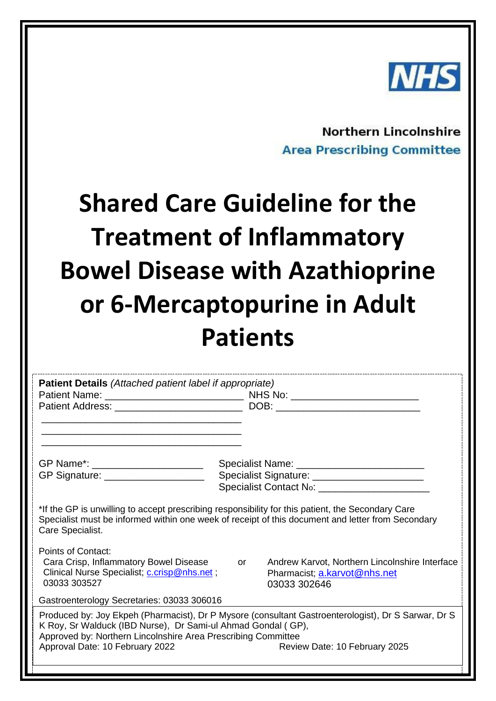

**Northern Lincolnshire Area Prescribing Committee** 

# **Shared Care Guideline for the Treatment of Inflammatory Bowel Disease with Azathioprine or 6-Mercaptopurine in Adult Patients**

| Patient Details (Attached patient label if appropriate)                                                                                                                                                                                                                                                  |           |                                                                                                |
|----------------------------------------------------------------------------------------------------------------------------------------------------------------------------------------------------------------------------------------------------------------------------------------------------------|-----------|------------------------------------------------------------------------------------------------|
|                                                                                                                                                                                                                                                                                                          |           |                                                                                                |
|                                                                                                                                                                                                                                                                                                          |           |                                                                                                |
|                                                                                                                                                                                                                                                                                                          |           |                                                                                                |
| GP Name*: ______________________                                                                                                                                                                                                                                                                         |           |                                                                                                |
| GP Signature: ____________________                                                                                                                                                                                                                                                                       |           | Specialist Signature: _______________________                                                  |
|                                                                                                                                                                                                                                                                                                          |           |                                                                                                |
| *If the GP is unwilling to accept prescribing responsibility for this patient, the Secondary Care<br>Specialist must be informed within one week of receipt of this document and letter from Secondary<br>Care Specialist.                                                                               |           |                                                                                                |
| Points of Contact:<br>Cara Crisp, Inflammatory Bowel Disease<br>Clinical Nurse Specialist; <i>c.crisp@nhs.net</i> ;<br>03033 303527                                                                                                                                                                      | <b>or</b> | Andrew Karvot, Northern Lincolnshire Interface<br>Pharmacist; a.karvot@nhs.net<br>03033 302646 |
| Gastroenterology Secretaries: 03033 306016                                                                                                                                                                                                                                                               |           |                                                                                                |
| Produced by: Joy Ekpeh (Pharmacist), Dr P Mysore (consultant Gastroenterologist), Dr S Sarwar, Dr S<br>K Roy, Sr Walduck (IBD Nurse), Dr Sami-ul Ahmad Gondal (GP),<br>Approved by: Northern Lincolnshire Area Prescribing Committee<br>Approval Date: 10 February 2022<br>Review Date: 10 February 2025 |           |                                                                                                |
|                                                                                                                                                                                                                                                                                                          |           |                                                                                                |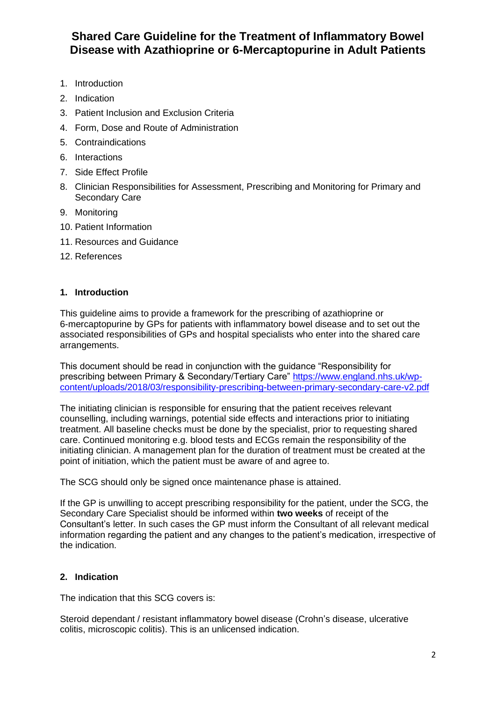- 1. Introduction
- 2. Indication
- 3. Patient Inclusion and Exclusion Criteria
- 4. Form, Dose and Route of Administration
- 5. Contraindications
- 6. Interactions
- 7. Side Effect Profile
- 8. Clinician Responsibilities for Assessment, Prescribing and Monitoring for Primary and Secondary Care
- 9. Monitoring
- 10. Patient Information
- 11. Resources and Guidance
- 12. References

## **1. Introduction**

This guideline aims to provide a framework for the prescribing of azathioprine or 6-mercaptopurine by GPs for patients with inflammatory bowel disease and to set out the associated responsibilities of GPs and hospital specialists who enter into the shared care arrangements.

This document should be read in conjunction with the guidance "Responsibility for prescribing between Primary & Secondary/Tertiary Care" [https://www.england.nhs.uk/wp](https://www.england.nhs.uk/wp-content/uploads/2018/03/responsibility-prescribing-between-primary-secondary-care-v2.pdf)[content/uploads/2018/03/responsibility-prescribing-between-primary-secondary-care-v2.pdf](https://www.england.nhs.uk/wp-content/uploads/2018/03/responsibility-prescribing-between-primary-secondary-care-v2.pdf)

The initiating clinician is responsible for ensuring that the patient receives relevant counselling, including warnings, potential side effects and interactions prior to initiating treatment. All baseline checks must be done by the specialist, prior to requesting shared care. Continued monitoring e.g. blood tests and ECGs remain the responsibility of the initiating clinician. A management plan for the duration of treatment must be created at the point of initiation, which the patient must be aware of and agree to.

The SCG should only be signed once maintenance phase is attained.

If the GP is unwilling to accept prescribing responsibility for the patient, under the SCG, the Secondary Care Specialist should be informed within **two weeks** of receipt of the Consultant's letter. In such cases the GP must inform the Consultant of all relevant medical information regarding the patient and any changes to the patient's medication, irrespective of the indication.

# **2. Indication**

The indication that this SCG covers is:

Steroid dependant / resistant inflammatory bowel disease (Crohn's disease, ulcerative colitis, microscopic colitis). This is an unlicensed indication.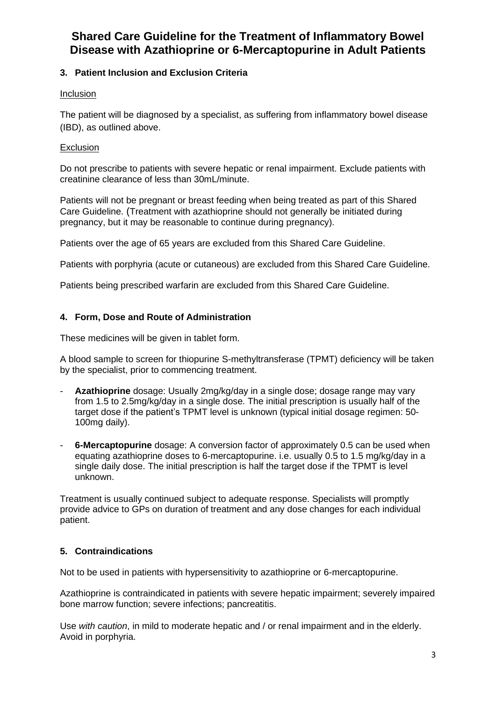# **3. Patient Inclusion and Exclusion Criteria**

## **Inclusion**

The patient will be diagnosed by a specialist, as suffering from inflammatory bowel disease (IBD), as outlined above.

## **Exclusion**

Do not prescribe to patients with severe hepatic or renal impairment. Exclude patients with creatinine clearance of less than 30mL/minute.

Patients will not be pregnant or breast feeding when being treated as part of this Shared Care Guideline. (Treatment with azathioprine should not generally be initiated during pregnancy, but it may be reasonable to continue during pregnancy).

Patients over the age of 65 years are excluded from this Shared Care Guideline.

Patients with porphyria (acute or cutaneous) are excluded from this Shared Care Guideline.

Patients being prescribed warfarin are excluded from this Shared Care Guideline.

# **4. Form, Dose and Route of Administration**

These medicines will be given in tablet form.

A blood sample to screen for thiopurine S-methyltransferase (TPMT) deficiency will be taken by the specialist, prior to commencing treatment.

- Azathioprine *dosage: Usually 2mg/kg/day in a single dose; dosage range may vary* from 1.5 to 2.5mg/kg/day in a single dose. The initial prescription is usually half of the target dose if the patient's TPMT level is unknown (typical initial dosage regimen: 50- 100mg daily).
- **6-Mercaptopurine** dosage: A conversion factor of approximately 0.5 can be used when equating azathioprine doses to 6-mercaptopurine. i.e. usually 0.5 to 1.5 mg/kg/day in a single daily dose. The initial prescription is half the target dose if the TPMT is level unknown.

Treatment is usually continued subject to adequate response. Specialists will promptly provide advice to GPs on duration of treatment and any dose changes for each individual patient.

# **5. Contraindications**

Not to be used in patients with hypersensitivity to azathioprine or 6-mercaptopurine.

Azathioprine is contraindicated in patients with severe hepatic impairment; severely impaired bone marrow function; severe infections; pancreatitis.

Use *with caution*, in mild to moderate hepatic and / or renal impairment and in the elderly. Avoid in porphyria.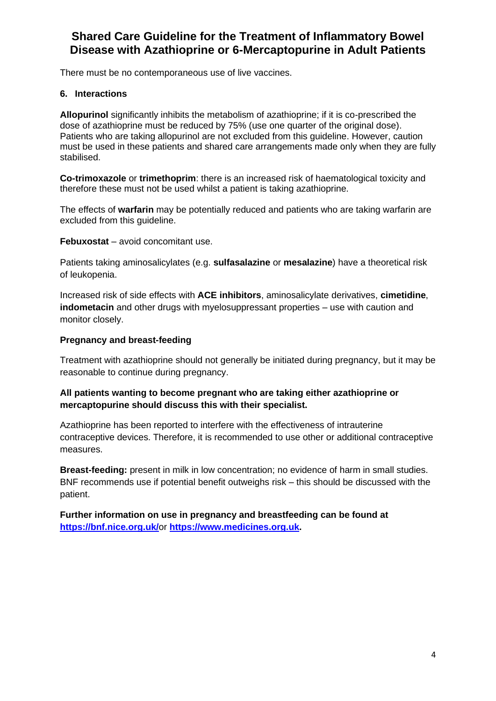There must be no contemporaneous use of live vaccines.

### **6. Interactions**

**Allopurinol** significantly inhibits the metabolism of azathioprine; if it is co-prescribed the dose of azathioprine must be reduced by 75% (use one quarter of the original dose). Patients who are taking allopurinol are not excluded from this guideline. However, caution must be used in these patients and shared care arrangements made only when they are fully stabilised.

**Co-trimoxazole** or **trimethoprim**: there is an increased risk of haematological toxicity and therefore these must not be used whilst a patient is taking azathioprine.

The effects of **warfarin** may be potentially reduced and patients who are taking warfarin are excluded from this guideline.

**Febuxostat** – avoid concomitant use.

Patients taking aminosalicylates (e.g. **sulfasalazine** or **mesalazine**) have a theoretical risk of leukopenia.

Increased risk of side effects with **ACE inhibitors**, aminosalicylate derivatives, **cimetidine**, **indometacin** and other drugs with myelosuppressant properties – use with caution and monitor closely.

#### **Pregnancy and breast-feeding**

Treatment with azathioprine should not generally be initiated during pregnancy, but it may be reasonable to continue during pregnancy.

# **All patients wanting to become pregnant who are taking either azathioprine or mercaptopurine should discuss this with their specialist.**

Azathioprine has been reported to interfere with the effectiveness of intrauterine contraceptive devices. Therefore, it is recommended to use other or additional contraceptive measures.

**Breast-feeding:** present in milk in low concentration; no evidence of harm in small studies. BNF recommends use if potential benefit outweighs risk – this should be discussed with the patient.

**Further information on use in pregnancy and breastfeeding can be found at <https://bnf.nice.org.uk/>**or **[https://www.medicines.org.uk.](https://www.medicines.org.uk/)**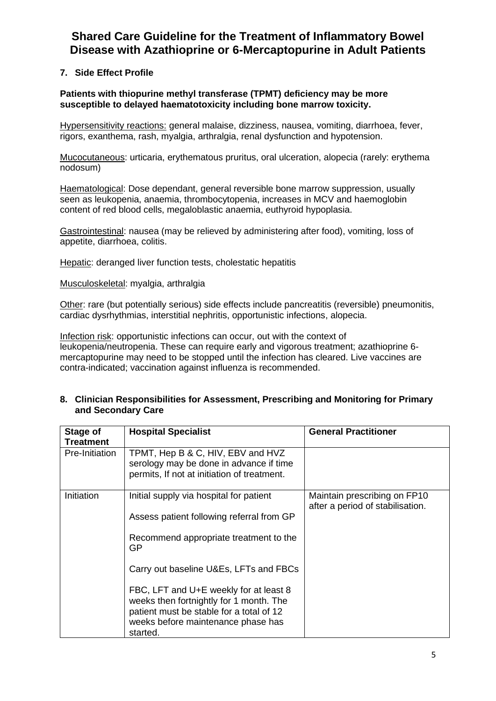# **7. Side Effect Profile**

**Patients with thiopurine methyl transferase (TPMT) deficiency may be more susceptible to delayed haematotoxicity including bone marrow toxicity.**

Hypersensitivity reactions: general malaise, dizziness, nausea, vomiting, diarrhoea, fever, rigors, exanthema, rash, myalgia, arthralgia, renal dysfunction and hypotension.

Mucocutaneous: urticaria, erythematous pruritus, oral ulceration, alopecia (rarely: erythema nodosum)

Haematological: Dose dependant, general reversible bone marrow suppression, usually seen as leukopenia, anaemia, thrombocytopenia, increases in MCV and haemoglobin content of red blood cells, megaloblastic anaemia, euthyroid hypoplasia.

Gastrointestinal: nausea (may be relieved by administering after food), vomiting, loss of appetite, diarrhoea, colitis.

Hepatic: deranged liver function tests, cholestatic hepatitis

#### Musculoskeletal: myalgia, arthralgia

Other: rare (but potentially serious) side effects include pancreatitis (reversible) pneumonitis, cardiac dysrhythmias, interstitial nephritis, opportunistic infections, alopecia.

Infection risk: opportunistic infections can occur, out with the context of leukopenia/neutropenia. These can require early and vigorous treatment; azathioprine 6 mercaptopurine may need to be stopped until the infection has cleared. Live vaccines are contra-indicated; vaccination against influenza is recommended.

#### **8. Clinician Responsibilities for Assessment, Prescribing and Monitoring for Primary and Secondary Care**

| Stage of<br><b>Treatment</b> | <b>Hospital Specialist</b>                                                                                                                                                      | <b>General Practitioner</b>                                      |
|------------------------------|---------------------------------------------------------------------------------------------------------------------------------------------------------------------------------|------------------------------------------------------------------|
| Pre-Initiation               | TPMT, Hep B & C, HIV, EBV and HVZ<br>serology may be done in advance if time<br>permits, If not at initiation of treatment.                                                     |                                                                  |
| Initiation                   | Initial supply via hospital for patient<br>Assess patient following referral from GP                                                                                            | Maintain prescribing on FP10<br>after a period of stabilisation. |
|                              | Recommend appropriate treatment to the<br><b>GP</b>                                                                                                                             |                                                                  |
|                              | Carry out baseline U&Es, LFTs and FBCs                                                                                                                                          |                                                                  |
|                              | FBC, LFT and U+E weekly for at least 8<br>weeks then fortnightly for 1 month. The<br>patient must be stable for a total of 12<br>weeks before maintenance phase has<br>started. |                                                                  |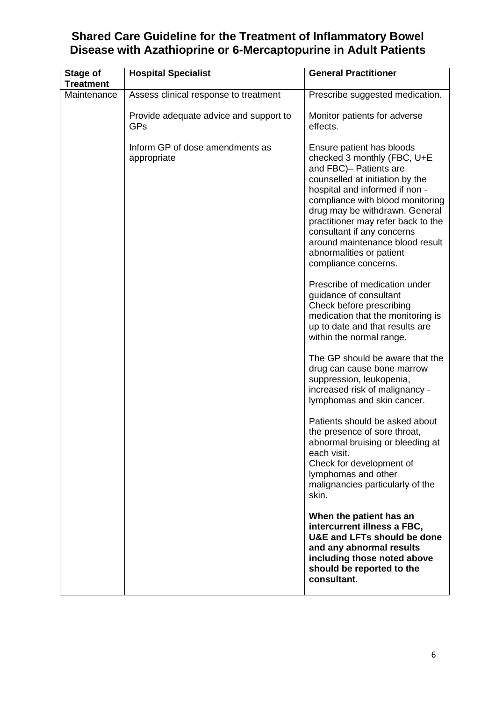| <b>Stage of</b><br><b>Treatment</b> | <b>Hospital Specialist</b>                     | <b>General Practitioner</b>                                                                                                                                                                                                                                                                                                                                                              |
|-------------------------------------|------------------------------------------------|------------------------------------------------------------------------------------------------------------------------------------------------------------------------------------------------------------------------------------------------------------------------------------------------------------------------------------------------------------------------------------------|
| Maintenance                         | Assess clinical response to treatment          | Prescribe suggested medication.                                                                                                                                                                                                                                                                                                                                                          |
|                                     | Provide adequate advice and support to<br>GPs  | Monitor patients for adverse<br>effects.                                                                                                                                                                                                                                                                                                                                                 |
|                                     | Inform GP of dose amendments as<br>appropriate | Ensure patient has bloods<br>checked 3 monthly (FBC, U+E<br>and FBC)- Patients are<br>counselled at initiation by the<br>hospital and informed if non -<br>compliance with blood monitoring<br>drug may be withdrawn. General<br>practitioner may refer back to the<br>consultant if any concerns<br>around maintenance blood result<br>abnormalities or patient<br>compliance concerns. |
|                                     |                                                | Prescribe of medication under<br>guidance of consultant<br>Check before prescribing<br>medication that the monitoring is<br>up to date and that results are<br>within the normal range.                                                                                                                                                                                                  |
|                                     |                                                | The GP should be aware that the<br>drug can cause bone marrow<br>suppression, leukopenia,<br>increased risk of malignancy -<br>lymphomas and skin cancer.                                                                                                                                                                                                                                |
|                                     |                                                | Patients should be asked about<br>the presence of sore throat,<br>abnormal bruising or bleeding at<br>each visit.<br>Check for development of<br>lymphomas and other<br>malignancies particularly of the<br>skin.                                                                                                                                                                        |
|                                     |                                                | When the patient has an<br>intercurrent illness a FBC,<br>U&E and LFTs should be done<br>and any abnormal results<br>including those noted above<br>should be reported to the<br>consultant.                                                                                                                                                                                             |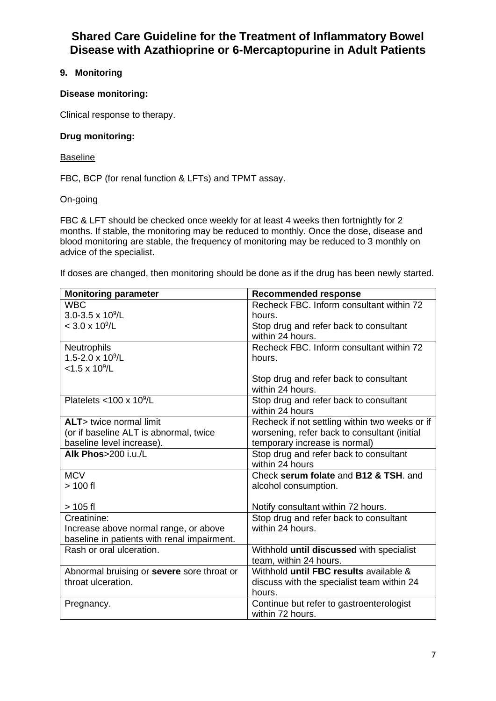# **9. Monitoring**

## **Disease monitoring:**

Clinical response to therapy.

#### **Drug monitoring:**

#### **Baseline**

FBC, BCP (for renal function & LFTs) and TPMT assay.

#### On-going

FBC & LFT should be checked once weekly for at least 4 weeks then fortnightly for 2 months. If stable, the monitoring may be reduced to monthly. Once the dose, disease and blood monitoring are stable, the frequency of monitoring may be reduced to 3 monthly on advice of the specialist.

If doses are changed, then monitoring should be done as if the drug has been newly started.

| <b>Monitoring parameter</b>                 | <b>Recommended response</b>                    |
|---------------------------------------------|------------------------------------------------|
| <b>WBC</b>                                  | Recheck FBC. Inform consultant within 72       |
| $3.0 - 3.5 \times 10^9$ /L                  | hours.                                         |
| $< 3.0 \times 10^9 / L$                     | Stop drug and refer back to consultant         |
|                                             | within 24 hours.                               |
| <b>Neutrophils</b>                          | Recheck FBC. Inform consultant within 72       |
| 1.5-2.0 x 10 <sup>9</sup> /L                | hours.                                         |
| $<$ 1.5 x 10 <sup>9</sup> /L                |                                                |
|                                             | Stop drug and refer back to consultant         |
|                                             | within 24 hours.                               |
| Platelets $<$ 100 x 10 <sup>9</sup> /L      | Stop drug and refer back to consultant         |
|                                             | within 24 hours                                |
| <b>ALT</b> > twice normal limit             | Recheck if not settling within two weeks or if |
| (or if baseline ALT is abnormal, twice      | worsening, refer back to consultant (initial   |
| baseline level increase).                   | temporary increase is normal)                  |
| Alk Phos>200 i.u./L                         | Stop drug and refer back to consultant         |
|                                             | within 24 hours                                |
| <b>MCV</b>                                  | Check serum folate and B12 & TSH, and          |
| $>100$ fl                                   | alcohol consumption.                           |
|                                             |                                                |
| $> 105$ fl                                  | Notify consultant within 72 hours.             |
| Creatinine:                                 | Stop drug and refer back to consultant         |
| Increase above normal range, or above       | within 24 hours.                               |
| baseline in patients with renal impairment. |                                                |
| Rash or oral ulceration.                    | Withhold until discussed with specialist       |
|                                             | team, within 24 hours.                         |
| Abnormal bruising or severe sore throat or  | Withhold until FBC results available &         |
| throat ulceration.                          | discuss with the specialist team within 24     |
|                                             | hours.                                         |
| Pregnancy.                                  | Continue but refer to gastroenterologist       |
|                                             | within 72 hours.                               |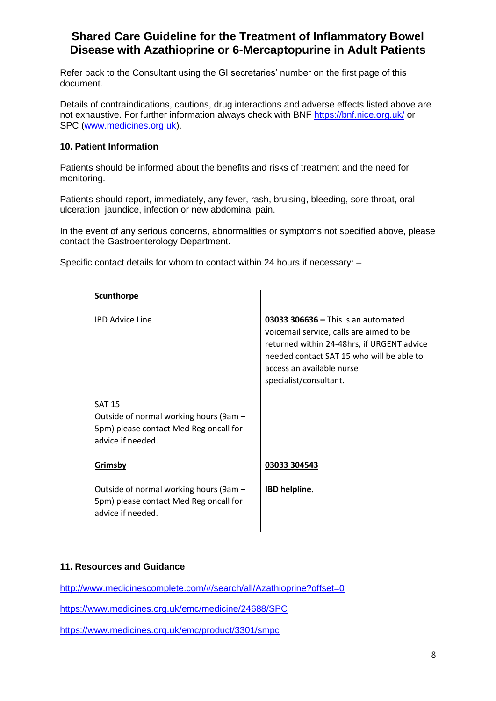Refer back to the Consultant using the GI secretaries' number on the first page of this document.

Details of contraindications, cautions, drug interactions and adverse effects listed above are not exhaustive. For further information always check with BNF<https://bnf.nice.org.uk/> or SPC [\(www.medicines.org.uk\)](http://www.medicines.org.uk/).

#### **10. Patient Information**

Patients should be informed about the benefits and risks of treatment and the need for monitoring.

Patients should report, immediately, any fever, rash, bruising, bleeding, sore throat, oral ulceration, jaundice, infection or new abdominal pain.

In the event of any serious concerns, abnormalities or symptoms not specified above, please contact the Gastroenterology Department.

Specific contact details for whom to contact within 24 hours if necessary: –

| <b>Scunthorpe</b>                                                                                                      |                                                                                                                                                                                                                                     |
|------------------------------------------------------------------------------------------------------------------------|-------------------------------------------------------------------------------------------------------------------------------------------------------------------------------------------------------------------------------------|
| <b>IBD Advice Line</b>                                                                                                 | $03033$ 306636 - This is an automated<br>voicemail service, calls are aimed to be<br>returned within 24-48hrs, if URGENT advice<br>needed contact SAT 15 who will be able to<br>access an available nurse<br>specialist/consultant. |
| <b>SAT 15</b><br>Outside of normal working hours (9am -<br>5pm) please contact Med Reg oncall for<br>advice if needed. |                                                                                                                                                                                                                                     |
| Grimsby                                                                                                                | 03033 304543                                                                                                                                                                                                                        |
| Outside of normal working hours (9am -<br>5pm) please contact Med Reg oncall for<br>advice if needed.                  | IBD helpline.                                                                                                                                                                                                                       |

#### **11. Resources and Guidance**

<http://www.medicinescomplete.com/#/search/all/Azathioprine?offset=0>

<https://www.medicines.org.uk/emc/medicine/24688/SPC>

<https://www.medicines.org.uk/emc/product/3301/smpc>